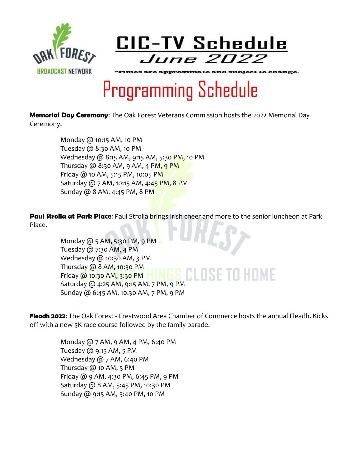



"Times are approximate and subject to change.

## Programming Schedule

**Memorial Day Ceremony**: The Oak Forest Veterans Commission hosts the 2022 Memorial Day Ceremony.

> Monday @ 10:15 AM, 10 PM Tuesday @ 8:30 AM, 10 PM Wednesday @ 8:15 AM, 9:15 AM, 5:30 PM, 10 PM Thursday  $\omega$  8:30 AM, 9 AM, 4 PM, 9 PM Friday @ 10 AM, 5:15 PM, 10:05 PM Saturday @ 7 AM, 10:15 AM, 4:45 PM, 8 PM Sunday @ 8 AM, 4:45 PM, 8 PM

**Paul Strolia at Park Place:** Paul Strolia brings Irish cheer and more to the senior luncheon at Park Place.

> Monday @ 5 AM, 5:30 PM, 9 PM Tuesday @ 7:30 AM, 4 PM Wednesday @ 10:30 AM, 3 PM Thursday @ 8 AM, 10:30 PM I ISETII  $-1$  M  $-$  Friday @ 10:30 AM, 3:30 PM Saturday @ 4:25 AM, 9:15 AM, 7 PM, 9 PM Sunday @ 6:45 AM, 10:30 AM, 7 PM, 9 PM

**Fleadh 2022**: The Oak Forest - Crestwood Area Chamber of Commerce hosts the annual Fleadh. Kicks off with a new 5K race course followed by the family parade.

> Monday @ 7 AM, 9 AM, 4 PM, 6:40 PM Tuesday @ 9:15 AM, 5 PM Wednesday @ 7 AM, 6:40 PM Thursday  $@$  10 AM, 5 PM Friday @ 9 AM, 4:30 PM, 6:45 PM, 9 PM Saturday @ 8 AM, 5:45 PM, 10:30 PM Sunday @ 9:15 AM, 5:40 PM, 10 PM